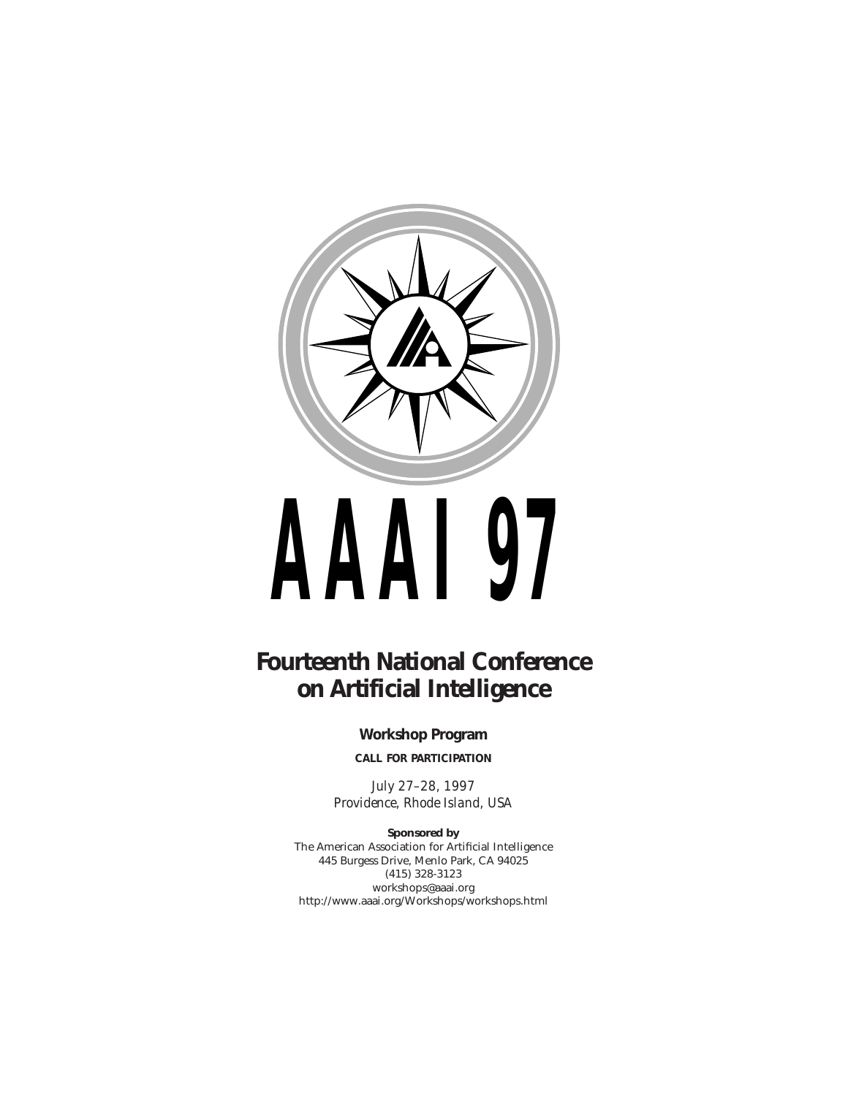

# **Fourteenth National Conference on Artificial Intelligence**

**Workshop Program**

**CALL FOR PARTICIPATION**

*July 27–28, 1997 Providence, Rhode Island, USA*

**Sponsored by** The American Association for Artificial Intelligence 445 Burgess Drive, Menlo Park, CA 94025 (415) 328-3123 workshops@aaai.org http://www.aaai.org/Workshops/workshops.html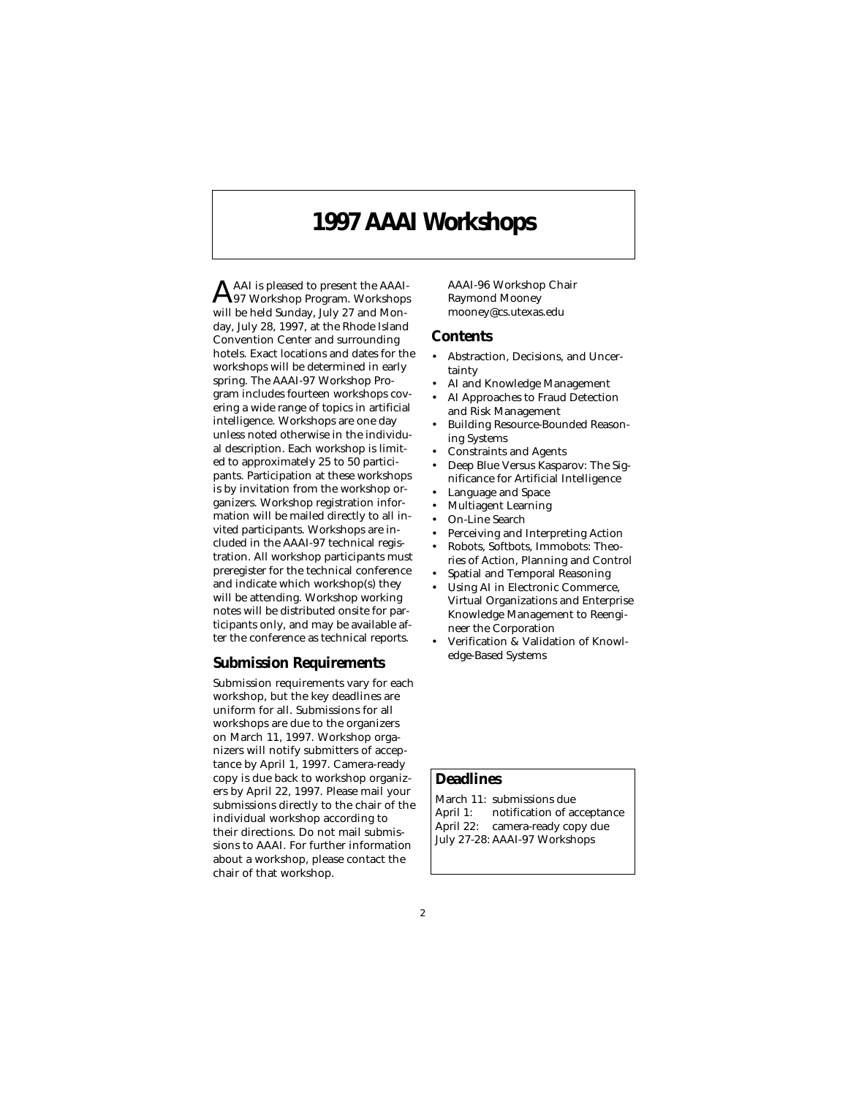### **1997 AAAI Workshops**

AAAI is pleased to present the AAAI-<br>A97 Workshop Program. Workshops will be held Sunday, July 27 and Monday, July 28, 1997, at the Rhode Island Convention Center and surrounding hotels. Exact locations and dates for the workshops will be determined in early spring. The AAAI-97 Workshop Program includes fourteen workshops covering a wide range of topics in artificial intelligence. Workshops are one day unless noted otherwise in the individual description. Each workshop is limited to approximately 25 to 50 participants. Participation at these workshops is by invitation from the workshop organizers. Workshop registration information will be mailed directly to all invited participants. Workshops are included in the AAAI-97 technical registration. All workshop participants must preregister for the technical conference and indicate which workshop(s) they will be attending. Workshop working notes will be distributed onsite for participants only, and may be available after the conference as technical reports.

#### **Submission Requirements**

Submission requirements vary for each workshop, but the key deadlines are uniform for all. Submissions for all workshops are due to the organizers on March 11, 1997. Workshop organizers will notify submitters of acceptance by April 1, 1997. Camera-ready copy is due back to workshop organizers by April 22, 1997. Please mail your submissions directly to the chair of the individual workshop according to their directions. Do not mail submissions to AAAI. For further information about a workshop, please contact the chair of that workshop.

AAAI-96 Workshop Chair Raymond Mooney mooney@cs.utexas.edu

#### **Contents**

- Abstraction, Decisions, and Uncertainty
- AI and Knowledge Management
- AI Approaches to Fraud Detection and Risk Management
- Building Resource-Bounded Reasoning Systems
- Constraints and Agents
- Deep Blue Versus Kasparov: The Significance for Artificial Intelligence
- Language and Space
- Multiagent Learning
- On-Line Search
- Perceiving and Interpreting Action
- Robots, Softbots, Immobots: Theories of Action, Planning and Control
- Spatial and Temporal Reasoning
- Using AI in Electronic Commerce, Virtual Organizations and Enterprise Knowledge Management to Reengineer the Corporation
- Verification & Validation of Knowledge-Based Systems

### **Deadlines**

March 11: submissions due April 1: notification of acceptance April 22: camera-ready copy due July 27-28: AAAI-97 Workshops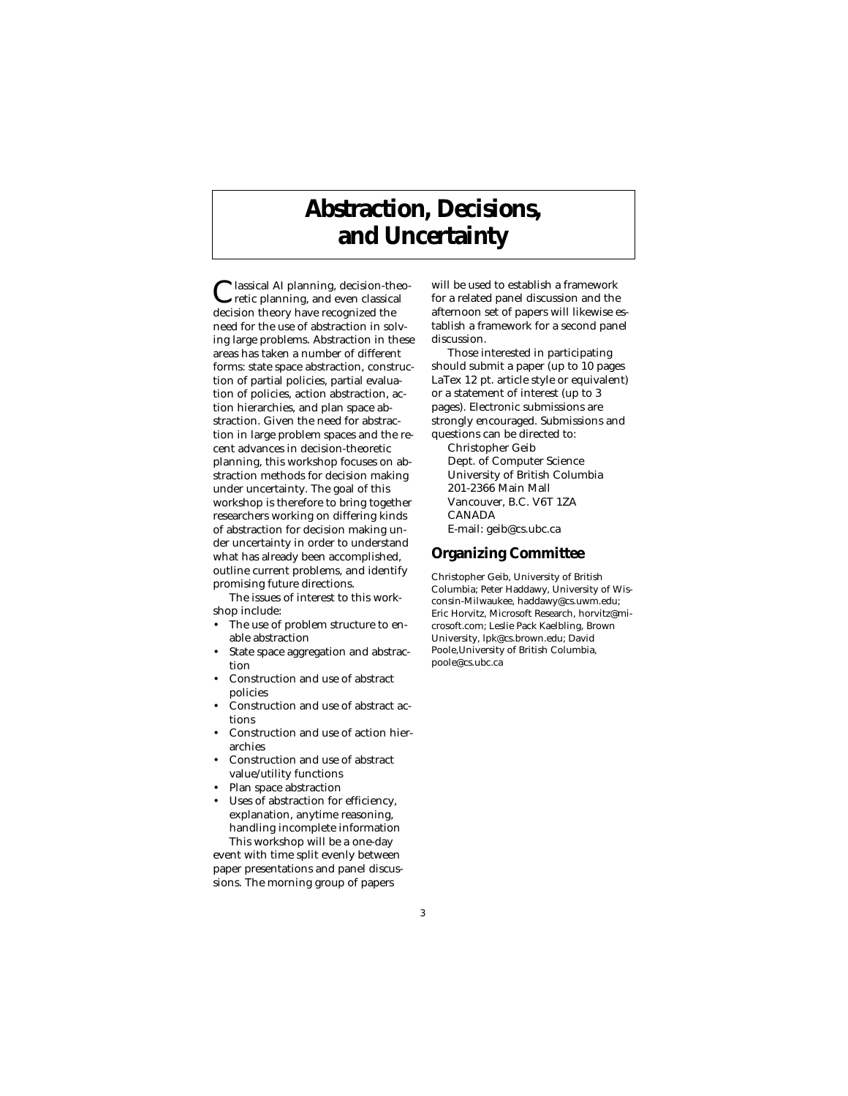# **Abstraction, Decisions, and Uncertainty**

Classical AI planning, decision-theo-retic planning, and even classical decision theory have recognized the need for the use of abstraction in solving large problems. Abstraction in these areas has taken a number of different forms: state space abstraction, construction of partial policies, partial evaluation of policies, action abstraction, action hierarchies, and plan space abstraction. Given the need for abstraction in large problem spaces and the recent advances in decision-theoretic planning, this workshop focuses on abstraction methods for decision making under uncertainty. The goal of this workshop is therefore to bring together researchers working on differing kinds of abstraction for decision making under uncertainty in order to understand what has already been accomplished, outline current problems, and identify promising future directions.

The issues of interest to this workshop include:

- The use of problem structure to enable abstraction
- State space aggregation and abstraction
- Construction and use of abstract policies
- Construction and use of abstract actions
- Construction and use of action hierarchies
- Construction and use of abstract value/utility functions
- Plan space abstraction
- Uses of abstraction for efficiency, explanation, anytime reasoning, handling incomplete information This workshop will be a one-day

event with time split evenly between paper presentations and panel discussions. The morning group of papers

will be used to establish a framework for a related panel discussion and the afternoon set of papers will likewise establish a framework for a second panel discussion.

Those interested in participating should submit a paper (up to 10 pages LaTex 12 pt. article style or equivalent) or a statement of interest (up to 3 pages). Electronic submissions are strongly encouraged. Submissions and questions can be directed to: Christopher Geib Dept. of Computer Science University of British Columbia 201-2366 Main Mall Vancouver, B.C. V6T 1ZA CANADA

E-mail: geib@cs.ubc.ca

### **Organizing Committee**

Christopher Geib, University of British Columbia; Peter Haddawy, University of Wisconsin-Milwaukee, haddawy@cs.uwm.edu; Eric Horvitz, Microsoft Research, horvitz@microsoft.com; Leslie Pack Kaelbling, Brown University, lpk@cs.brown.edu; David Poole,University of British Columbia, poole@cs.ubc.ca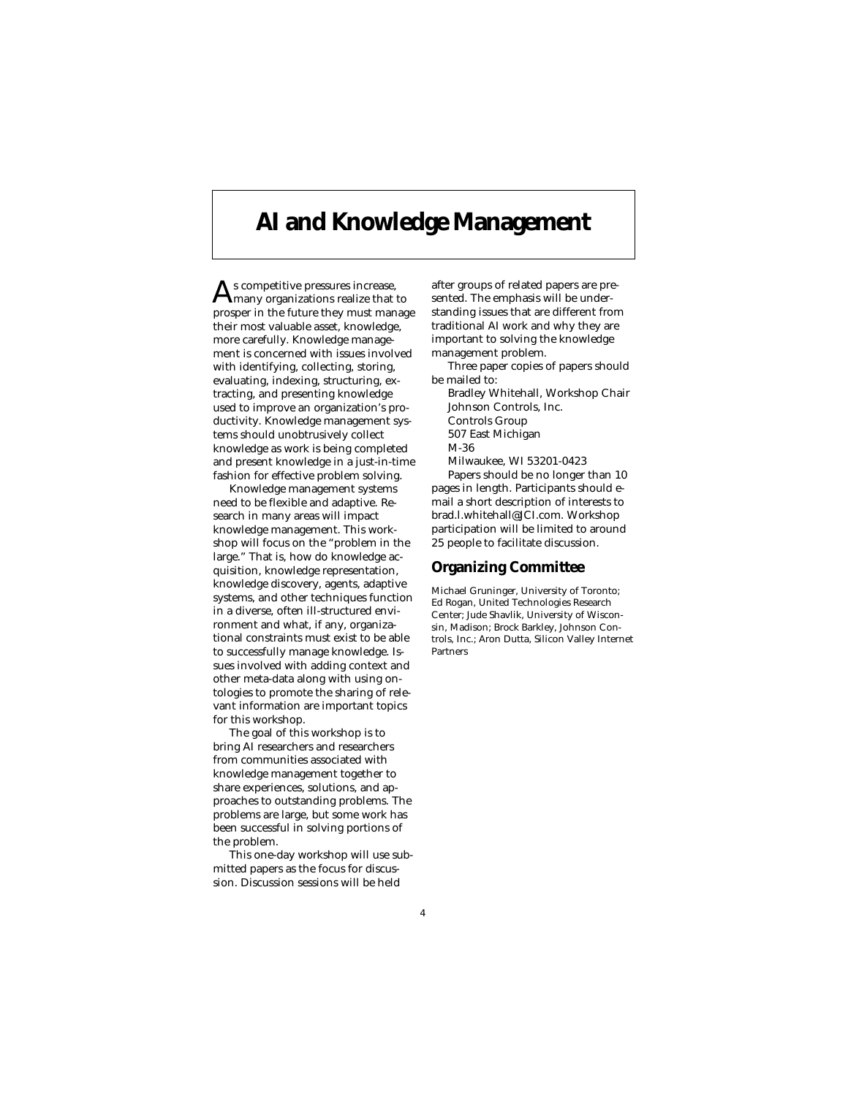# **AI and Knowledge Management**

 $\mathbf{A}$ s competitive pressures increase,<br> $\mathbf{A}$ many organizations realize that to prosper in the future they must manage their most valuable asset, knowledge, more carefully. Knowledge management is concerned with issues involved with identifying, collecting, storing, evaluating, indexing, structuring, extracting, and presenting knowledge used to improve an organization's productivity. Knowledge management systems should unobtrusively collect knowledge as work is being completed and present knowledge in a just-in-time fashion for effective problem solving.

Knowledge management systems need to be flexible and adaptive. Research in many areas will impact knowledge management. This workshop will focus on the "problem in the large." That is, how do knowledge acquisition, knowledge representation, knowledge discovery, agents, adaptive systems, and other techniques function in a diverse, often ill-structured environment and what, if any, organizational constraints must exist to be able to successfully manage knowledge. Issues involved with adding context and other meta-data along with using ontologies to promote the sharing of relevant information are important topics for this workshop.

The goal of this workshop is to bring AI researchers and researchers from communities associated with knowledge management together to share experiences, solutions, and approaches to outstanding problems. The problems are large, but some work has been successful in solving portions of the problem.

This one-day workshop will use submitted papers as the focus for discussion. Discussion sessions will be held

after groups of related papers are presented. The emphasis will be understanding issues that are different from traditional AI work and why they are important to solving the knowledge management problem.

- Three paper copies of papers should be mailed to:
- Bradley Whitehall, Workshop Chair Johnson Controls, Inc. Controls Group 507 East Michigan M-36 Milwaukee, WI 53201-0423 Papers should be no longer than 10 pages in length. Participants should e-

mail a short description of interests to brad.l.whitehall@JCI.com. Workshop participation will be limited to around 25 people to facilitate discussion.

### **Organizing Committee**

Michael Gruninger, University of Toronto; Ed Rogan, United Technologies Research Center; Jude Shavlik, University of Wisconsin, Madison; Brock Barkley, Johnson Controls, Inc.; Aron Dutta, Silicon Valley Internet Partners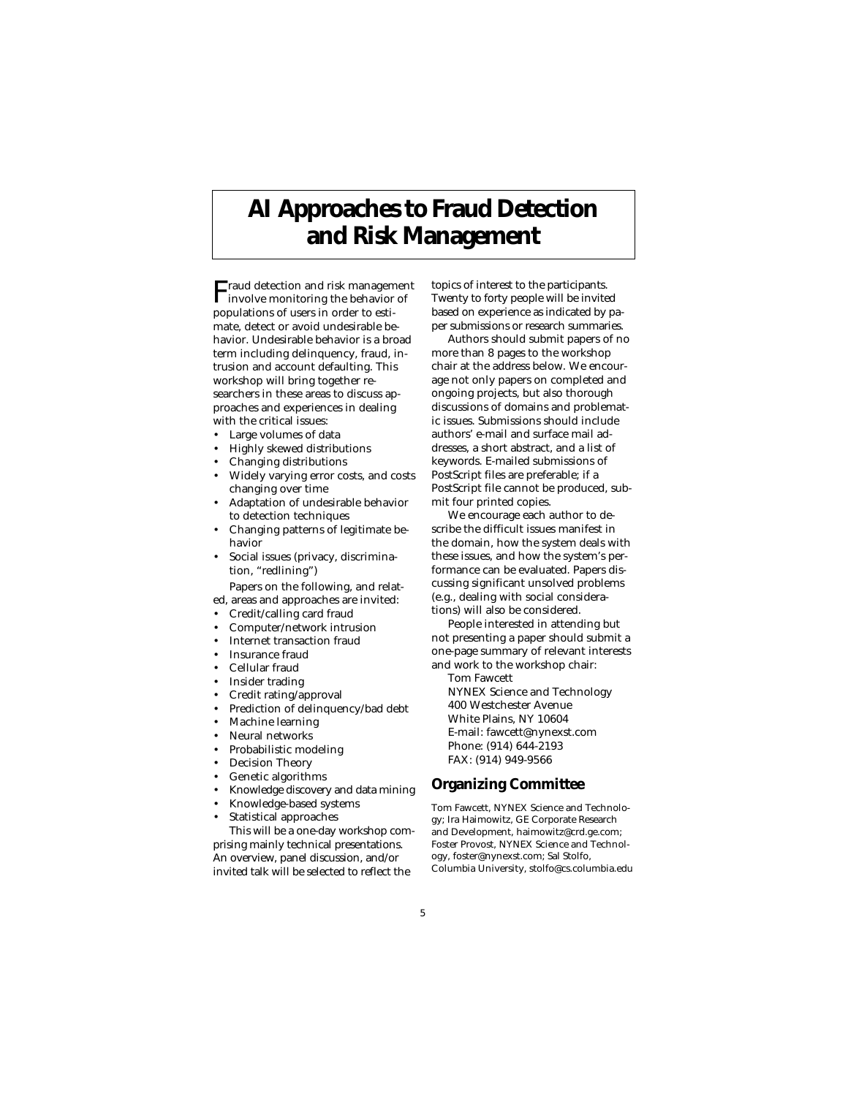# **AI Approaches to Fraud Detection and Risk Management**

Fraud detection and risk management involve monitoring the behavior of populations of users in order to estimate, detect or avoid undesirable behavior. Undesirable behavior is a broad term including delinquency, fraud, intrusion and account defaulting. This workshop will bring together researchers in these areas to discuss approaches and experiences in dealing with the critical issues:

- Large volumes of data
- Highly skewed distributions
- Changing distributions
- Widely varying error costs, and costs changing over time
- Adaptation of undesirable behavior to detection techniques
- Changing patterns of legitimate behavior
- Social issues (privacy, discrimination, "redlining")

Papers on the following, and relat-

- ed, areas and approaches are invited: • Credit/calling card fraud
- 
- Computer/network intrusion Internet transaction fraud
- 
- Insurance fraud
- Cellular fraud
- Insider trading
- Credit rating/approval
- Prediction of delinquency/bad debt
- Machine learning
- Neural networks
- Probabilistic modeling
- Decision Theory
- Genetic algorithms
- Knowledge discovery and data mining
- Knowledge-based systems
- Statistical approaches

This will be a one-day workshop comprising mainly technical presentations. An overview, panel discussion, and/or invited talk will be selected to reflect the

topics of interest to the participants. Twenty to forty people will be invited based on experience as indicated by paper submissions or research summaries.

Authors should submit papers of no more than 8 pages to the workshop chair at the address below. We encourage not only papers on completed and ongoing projects, but also thorough discussions of domains and problematic issues. Submissions should include authors' e-mail and surface mail addresses, a short abstract, and a list of keywords. E-mailed submissions of PostScript files are preferable; if a PostScript file cannot be produced, submit four printed copies.

We encourage each author to describe the difficult issues manifest in the domain, how the system deals with these issues, and how the system's performance can be evaluated. Papers discussing significant unsolved problems (e.g., dealing with social considerations) will also be considered.

People interested in attending but not presenting a paper should submit a one-page summary of relevant interests and work to the workshop chair:

Tom Fawcett

- NYNEX Science and Technology 400 Westchester Avenue White Plains, NY 10604 E-mail: fawcett@nynexst.com Phone: (914) 644-2193
- FAX: (914) 949-9566

#### **Organizing Committee**

Tom Fawcett, NYNEX Science and Technology; Ira Haimowitz, GE Corporate Research and Development, haimowitz@crd.ge.com; Foster Provost, NYNEX Science and Technology, foster@nynexst.com; Sal Stolfo, Columbia University, stolfo@cs.columbia.edu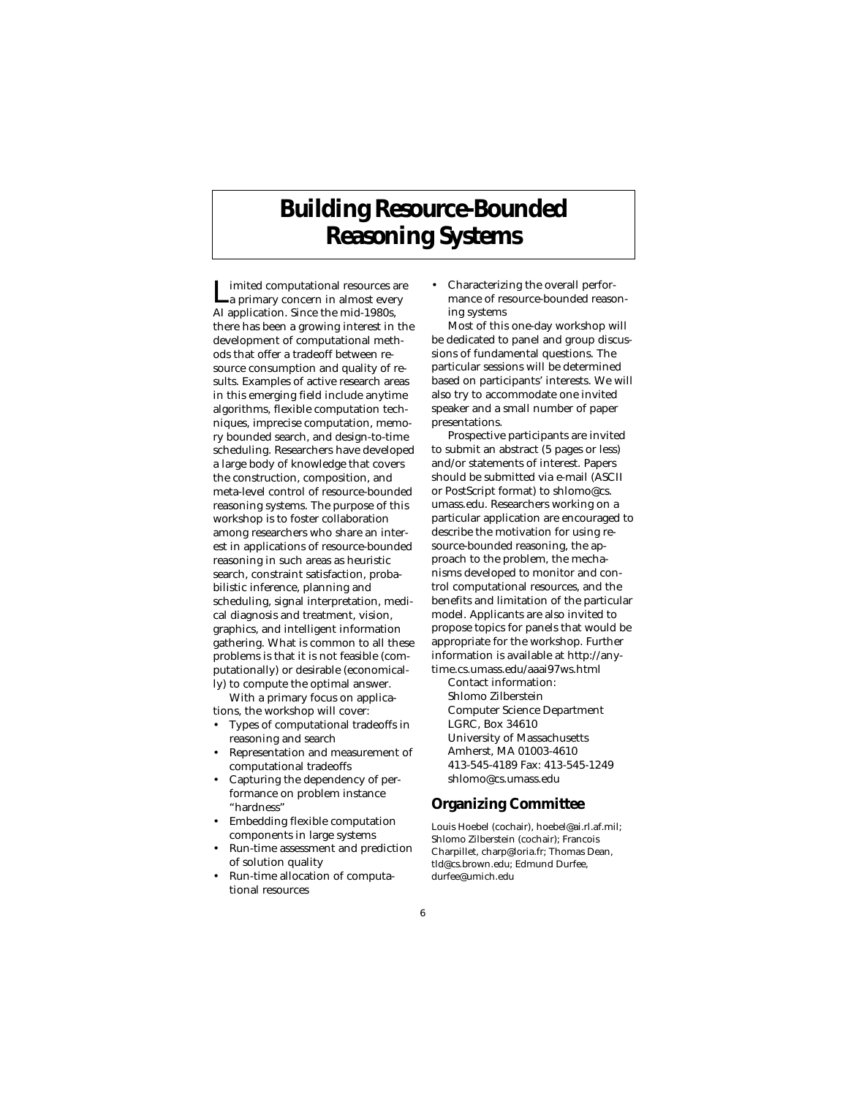# **Building Resource-Bounded Reasoning Systems**

Limited computational resources are a primary concern in almost every AI application. Since the mid-1980s, there has been a growing interest in the development of computational methods that offer a tradeoff between resource consumption and quality of results. Examples of active research areas in this emerging field include anytime algorithms, flexible computation techniques, imprecise computation, memory bounded search, and design-to-time scheduling. Researchers have developed a large body of knowledge that covers the construction, composition, and meta-level control of resource-bounded reasoning systems. The purpose of this workshop is to foster collaboration among researchers who share an interest in applications of resource-bounded reasoning in such areas as heuristic search, constraint satisfaction, probabilistic inference, planning and scheduling, signal interpretation, medical diagnosis and treatment, vision, graphics, and intelligent information gathering. What is common to all these problems is that it is not feasible (computationally) or desirable (economically) to compute the optimal answer.

With a primary focus on applications, the workshop will cover:

- Types of computational tradeoffs in reasoning and search
- Representation and measurement of computational tradeoffs
- Capturing the dependency of performance on problem instance "hardness"
- Embedding flexible computation components in large systems
- Run-time assessment and prediction of solution quality
- Run-time allocation of computational resources

• Characterizing the overall performance of resource-bounded reasoning systems

Most of this one-day workshop will be dedicated to panel and group discussions of fundamental questions. The particular sessions will be determined based on participants' interests. We will also try to accommodate one invited speaker and a small number of paper presentations.

Prospective participants are invited to submit an abstract (5 pages or less) and/or statements of interest. Papers should be submitted via e-mail (ASCII or PostScript format) to shlomo@cs. umass.edu. Researchers working on a particular application are encouraged to describe the motivation for using resource-bounded reasoning, the approach to the problem, the mechanisms developed to monitor and control computational resources, and the benefits and limitation of the particular model. Applicants are also invited to propose topics for panels that would be appropriate for the workshop. Further information is available at http://anytime.cs.umass.edu/aaai97ws.html

Contact information: Shlomo Zilberstein Computer Science Department LGRC, Box 34610 University of Massachusetts Amherst, MA 01003-4610 413-545-4189 Fax: 413-545-1249 shlomo@cs.umass.edu

### **Organizing Committee**

Louis Hoebel (cochair), hoebel@ai.rl.af.mil; Shlomo Zilberstein (cochair); Francois Charpillet, charp@loria.fr; Thomas Dean, tld@cs.brown.edu; Edmund Durfee, durfee@umich.edu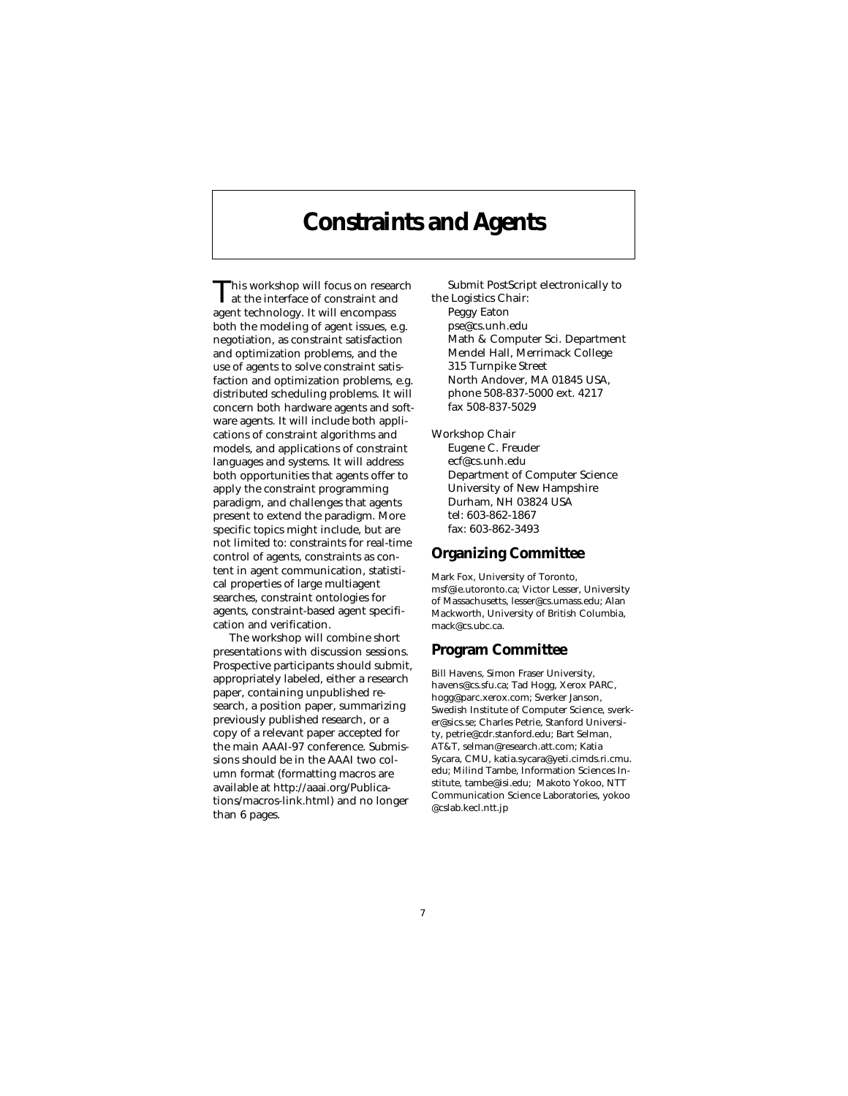### **Constraints and Agents**

This workshop will focus on research at the interface of constraint and agent technology. It will encompass both the modeling of agent issues, e.g. negotiation, as constraint satisfaction and optimization problems, and the use of agents to solve constraint satisfaction and optimization problems, e.g. distributed scheduling problems. It will concern both hardware agents and software agents. It will include both applications of constraint algorithms and models, and applications of constraint languages and systems. It will address both opportunities that agents offer to apply the constraint programming paradigm, and challenges that agents present to extend the paradigm. More specific topics might include, but are not limited to: constraints for real-time control of agents, constraints as content in agent communication, statistical properties of large multiagent searches, constraint ontologies for agents, constraint-based agent specification and verification.

The workshop will combine short presentations with discussion sessions. Prospective participants should submit, appropriately labeled, either a research paper, containing unpublished research, a position paper, summarizing previously published research, or a copy of a relevant paper accepted for the main AAAI-97 conference. Submissions should be in the AAAI two column format (formatting macros are available at http://aaai.org/Publications/macros-link.html) and no longer than 6 pages.

Submit PostScript electronically to the Logistics Chair: Peggy Eaton pse@cs.unh.edu Math & Computer Sci. Department Mendel Hall, Merrimack College 315 Turnpike Street North Andover, MA 01845 USA, phone 508-837-5000 ext. 4217 fax 508-837-5029

Workshop Chair Eugene C. Freuder ecf@cs.unh.edu Department of Computer Science University of New Hampshire Durham, NH 03824 USA tel: 603-862-1867 fax: 603-862-3493

#### **Organizing Committee**

Mark Fox, University of Toronto, msf@ie.utoronto.ca; Victor Lesser, University of Massachusetts, lesser@cs.umass.edu; Alan Mackworth, University of British Columbia, mack@cs.ubc.ca.

#### **Program Committee**

Bill Havens, Simon Fraser University, havens@cs.sfu.ca; Tad Hogg, Xerox PARC, hogg@parc.xerox.com; Sverker Janson, Swedish Institute of Computer Science, sverker@sics.se; Charles Petrie, Stanford University, petrie@cdr.stanford.edu; Bart Selman, AT&T, selman@research.att.com; Katia Sycara, CMU, katia.sycara@yeti.cimds.ri.cmu. edu; Milind Tambe, Information Sciences Institute, tambe@isi.edu; Makoto Yokoo, NTT Communication Science Laboratories, yokoo @cslab.kecl.ntt.jp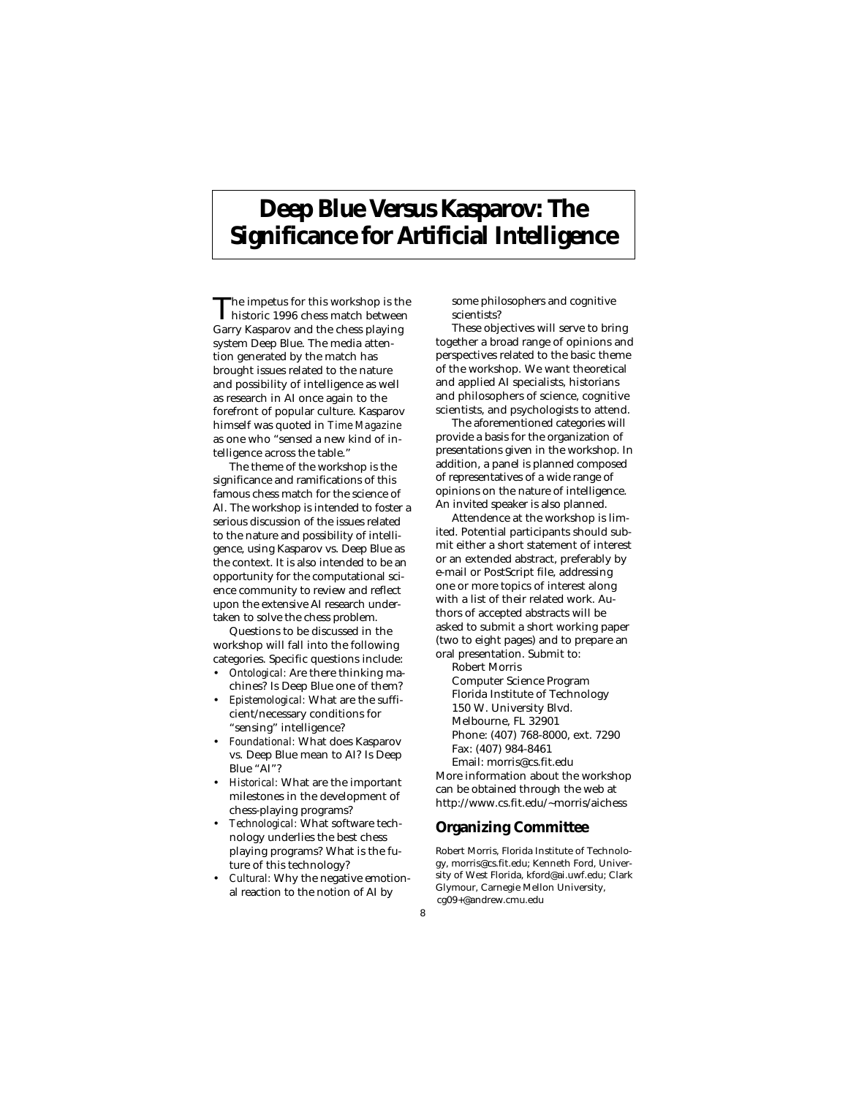# **Deep Blue Versus Kasparov: The Significance for Artificial Intelligence**

The impetus for this workshop is the<br>historic 1996 chess match between Garry Kasparov and the chess playing system Deep Blue. The media attention generated by the match has brought issues related to the nature and possibility of intelligence as well as research in AI once again to the forefront of popular culture. Kasparov himself was quoted in *Time Magazine* as one who "sensed a new kind of intelligence across the table."

The theme of the workshop is the significance and ramifications of this famous chess match for the science of AI. The workshop is intended to foster a serious discussion of the issues related to the nature and possibility of intelligence, using Kasparov vs. Deep Blue as the context. It is also intended to be an opportunity for the computational science community to review and reflect upon the extensive AI research undertaken to solve the chess problem.

Questions to be discussed in the workshop will fall into the following categories. Specific questions include:

- *Ontological:* Are there thinking machines? Is Deep Blue one of them?
- *Epistemological:* What are the sufficient/necessary conditions for "sensing" intelligence?
- *Foundational:* What does Kasparov vs. Deep Blue mean to AI? Is Deep Blue "AI"?
- *Historical:* What are the important milestones in the development of chess-playing programs?
- *Technological:* What software technology underlies the best chess playing programs? What is the future of this technology?
- *Cultural:* Why the negative emotional reaction to the notion of AI by

some philosophers and cognitive scientists?

These objectives will serve to bring together a broad range of opinions and perspectives related to the basic theme of the workshop. We want theoretical and applied AI specialists, historians and philosophers of science, cognitive scientists, and psychologists to attend.

The aforementioned categories will provide a basis for the organization of presentations given in the workshop. In addition, a panel is planned composed of representatives of a wide range of opinions on the nature of intelligence. An invited speaker is also planned.

Attendence at the workshop is limited. Potential participants should submit either a short statement of interest or an extended abstract, preferably by e-mail or PostScript file, addressing one or more topics of interest along with a list of their related work. Authors of accepted abstracts will be asked to submit a short working paper (two to eight pages) and to prepare an oral presentation. Submit to:

Robert Morris Computer Science Program Florida Institute of Technology 150 W. University Blvd. Melbourne, FL 32901 Phone: (407) 768-8000, ext. 7290 Fax: (407) 984-8461 Email: morris@cs.fit.edu

More information about the workshop can be obtained through the web at http://www.cs.fit.edu/~morris/aichess

#### **Organizing Committee**

Robert Morris, Florida Institute of Technology, morris@cs.fit.edu; Kenneth Ford, University of West Florida, kford@ai.uwf.edu; Clark Glymour, Carnegie Mellon University, cg09+@andrew.cmu.edu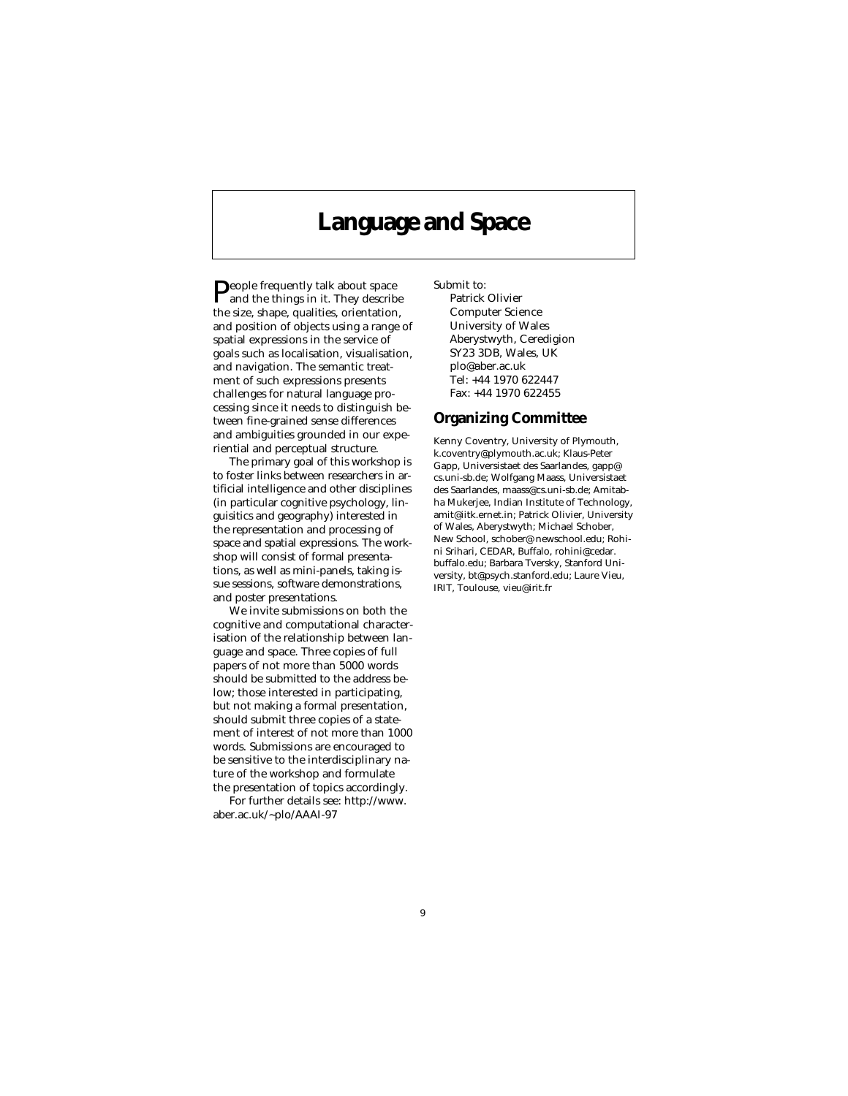### **Language and Space**

People frequently talk about space<br>and the things in it. They describe the size, shape, qualities, orientation, and position of objects using a range of spatial expressions in the service of goals such as localisation, visualisation, and navigation. The semantic treatment of such expressions presents challenges for natural language processing since it needs to distinguish between fine-grained sense differences and ambiguities grounded in our experiential and perceptual structure.

The primary goal of this workshop is to foster links between researchers in artificial intelligence and other disciplines (in particular cognitive psychology, linguisitics and geography) interested in the representation and processing of space and spatial expressions. The workshop will consist of formal presentations, as well as mini-panels, taking issue sessions, software demonstrations, and poster presentations.

We invite submissions on both the cognitive and computational characterisation of the relationship between language and space. Three copies of full papers of not more than 5000 words should be submitted to the address below; those interested in participating, but not making a formal presentation, should submit three copies of a statement of interest of not more than 1000 words. Submissions are encouraged to be sensitive to the interdisciplinary nature of the workshop and formulate the presentation of topics accordingly.

For further details see: http://www. aber.ac.uk/~plo/AAAI-97

Submit to:

Patrick Olivier Computer Science University of Wales Aberystwyth, Ceredigion SY23 3DB, Wales, UK plo@aber.ac.uk Tel: +44 1970 622447 Fax: +44 1970 622455

#### **Organizing Committee**

Kenny Coventry, University of Plymouth, k.coventry@plymouth.ac.uk; Klaus-Peter Gapp, Universistaet des Saarlandes, gapp@ cs.uni-sb.de; Wolfgang Maass, Universistaet des Saarlandes, maass@cs.uni-sb.de; Amitabha Mukerjee, Indian Institute of Technology, amit@iitk.ernet.in; Patrick Olivier, University of Wales, Aberystwyth; Michael Schober, New School, schober@ newschool.edu; Rohini Srihari, CEDAR, Buffalo, rohini@cedar. buffalo.edu; Barbara Tversky, Stanford University, bt@psych.stanford.edu; Laure Vieu, IRIT, Toulouse, vieu@irit.fr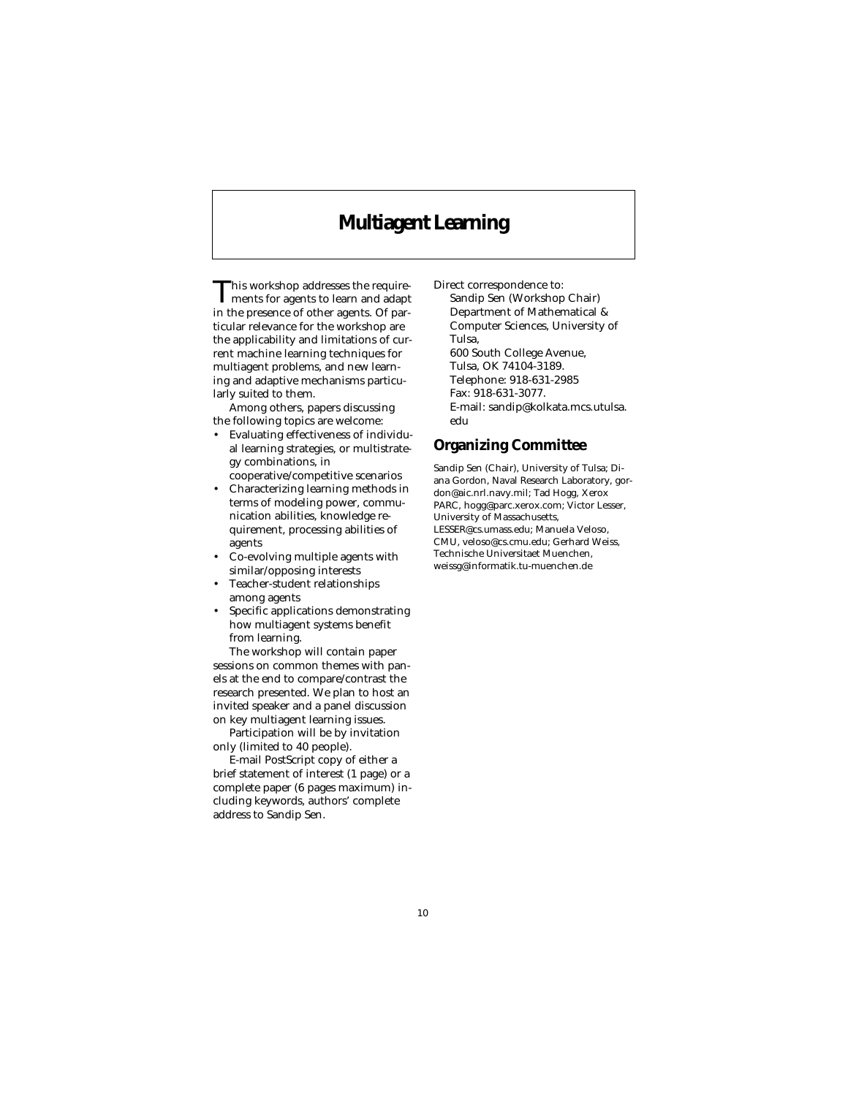### **Multiagent Learning**

This workshop addresses the require-ments for agents to learn and adapt in the presence of other agents. Of particular relevance for the workshop are the applicability and limitations of current machine learning techniques for multiagent problems, and new learning and adaptive mechanisms particularly suited to them.

Among others, papers discussing the following topics are welcome:

- Evaluating effectiveness of individual learning strategies, or multistrategy combinations, in cooperative/competitive scenarios
- Characterizing learning methods in terms of modeling power, communication abilities, knowledge requirement, processing abilities of agents
- Co-evolving multiple agents with similar/opposing interests
- Teacher-student relationships among agents
- Specific applications demonstrating how multiagent systems benefit from learning.

The workshop will contain paper sessions on common themes with panels at the end to compare/contrast the research presented. We plan to host an invited speaker and a panel discussion on key multiagent learning issues.

Participation will be by invitation only (limited to 40 people).

E-mail PostScript copy of either a brief statement of interest (1 page) or a complete paper (6 pages maximum) including keywords, authors' complete address to Sandip Sen.

Direct correspondence to:

Sandip Sen (Workshop Chair) Department of Mathematical & Computer Sciences, University of Tulsa, 600 South College Avenue, Tulsa, OK 74104-3189. Telephone: 918-631-2985 Fax: 918-631-3077. E-mail: sandip@kolkata.mcs.utulsa.

### **Organizing Committee**

edu

Sandip Sen (Chair), University of Tulsa; Diana Gordon, Naval Research Laboratory, gordon@aic.nrl.navy.mil; Tad Hogg, Xerox PARC, hogg@parc.xerox.com; Victor Lesser, University of Massachusetts, LESSER@cs.umass.edu; Manuela Veloso, CMU, veloso@cs.cmu.edu; Gerhard Weiss, Technische Universitaet Muenchen, weissg@informatik.tu-muenchen.de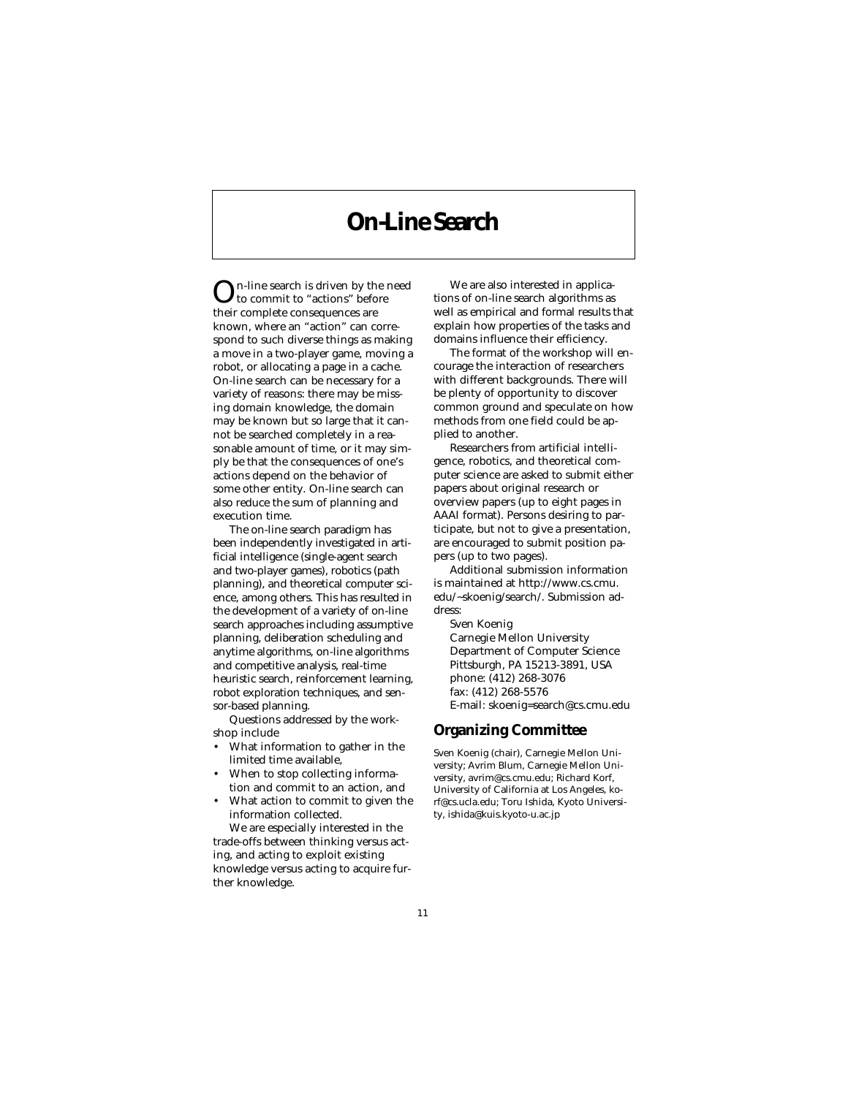# **On-Line Search**

On-line search is driven by the need to commit to "actions" before their complete consequences are known, where an "action" can correspond to such diverse things as making a move in a two-player game, moving a robot, or allocating a page in a cache. On-line search can be necessary for a variety of reasons: there may be missing domain knowledge, the domain may be known but so large that it cannot be searched completely in a reasonable amount of time, or it may simply be that the consequences of one's actions depend on the behavior of some other entity. On-line search can also reduce the sum of planning and execution time.

The on-line search paradigm has been independently investigated in artificial intelligence (single-agent search and two-player games), robotics (path planning), and theoretical computer science, among others. This has resulted in the development of a variety of on-line search approaches including assumptive planning, deliberation scheduling and anytime algorithms, on-line algorithms and competitive analysis, real-time heuristic search, reinforcement learning, robot exploration techniques, and sensor-based planning.

Questions addressed by the workshop include

- What information to gather in the limited time available,
- When to stop collecting information and commit to an action, and
- What action to commit to given the information collected.

We are especially interested in the trade-offs between thinking versus acting, and acting to exploit existing knowledge versus acting to acquire further knowledge.

We are also interested in applications of on-line search algorithms as well as empirical and formal results that explain how properties of the tasks and domains influence their efficiency.

The format of the workshop will encourage the interaction of researchers with different backgrounds. There will be plenty of opportunity to discover common ground and speculate on how methods from one field could be applied to another.

Researchers from artificial intelligence, robotics, and theoretical computer science are asked to submit either papers about original research or overview papers (up to eight pages in AAAI format). Persons desiring to participate, but not to give a presentation, are encouraged to submit position papers (up to two pages).

Additional submission information is maintained at http://www.cs.cmu. edu/~skoenig/search/. Submission address:

Sven Koenig Carnegie Mellon University Department of Computer Science Pittsburgh, PA 15213-3891, USA phone: (412) 268-3076 fax: (412) 268-5576 E-mail: skoenig=search@cs.cmu.edu

#### **Organizing Committee**

Sven Koenig (chair), Carnegie Mellon University; Avrim Blum, Carnegie Mellon University, avrim@cs.cmu.edu; Richard Korf, University of California at Los Angeles, korf@cs.ucla.edu; Toru Ishida, Kyoto University, ishida@kuis.kyoto-u.ac.jp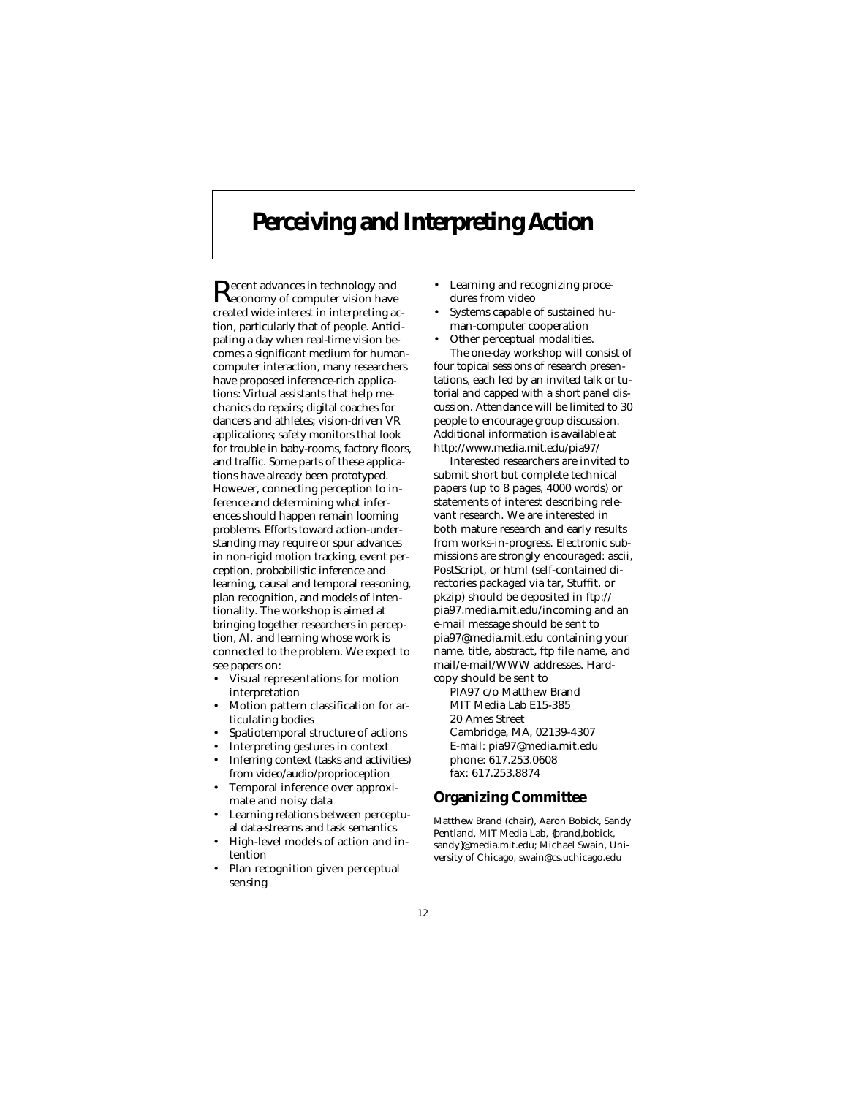# **Perceiving and Interpreting Action**

Recent advances in technology and economy of computer vision have created wide interest in interpreting action, particularly that of people. Anticipating a day when real-time vision becomes a significant medium for humancomputer interaction, many researchers have proposed inference-rich applications: Virtual assistants that help mechanics do repairs; digital coaches for dancers and athletes; vision-driven VR applications; safety monitors that look for trouble in baby-rooms, factory floors, and traffic. Some parts of these applications have already been prototyped. However, connecting perception to inference and determining what inferences should happen remain looming problems. Efforts toward action-understanding may require or spur advances in non-rigid motion tracking, event perception, probabilistic inference and learning, causal and temporal reasoning, plan recognition, and models of intentionality. The workshop is aimed at bringing together researchers in perception, AI, and learning whose work is connected to the problem. We expect to see papers on:

- Visual representations for motion interpretation
- Motion pattern classification for articulating bodies
- Spatiotemporal structure of actions
- Interpreting gestures in context
- Inferring context (tasks and activities) from video/audio/proprioception
- Temporal inference over approximate and noisy data
- Learning relations between perceptual data-streams and task semantics
- High-level models of action and intention
- Plan recognition given perceptual sensing
- Learning and recognizing procedures from video
- Systems capable of sustained human-computer cooperation
- Other perceptual modalities. The one-day workshop will consist of four topical sessions of research presentations, each led by an invited talk or tutorial and capped with a short panel discussion. Attendance will be limited to 30 people to encourage group discussion. Additional information is available at http://www.media.mit.edu/pia97/

Interested researchers are invited to submit short but complete technical papers (up to 8 pages, 4000 words) or statements of interest describing relevant research. We are interested in both mature research and early results from works-in-progress. Electronic submissions are strongly encouraged: ascii, PostScript, or html (self-contained directories packaged via tar, Stuffit, or pkzip) should be deposited in ftp:// pia97.media.mit.edu/incoming and an e-mail message should be sent to pia97@media.mit.edu containing your name, title, abstract, ftp file name, and mail/e-mail/WWW addresses. Hardcopy should be sent to

PIA97 c/o Matthew Brand MIT Media Lab E15-385 20 Ames Street Cambridge, MA, 02139-4307 E-mail: pia97@media.mit.edu phone: 617.253.0608 fax: 617.253.8874

### **Organizing Committee**

Matthew Brand (chair), Aaron Bobick, Sandy Pentland, MIT Media Lab, {brand,bobick, sandy}@media.mit.edu; Michael Swain, University of Chicago, swain@cs.uchicago.edu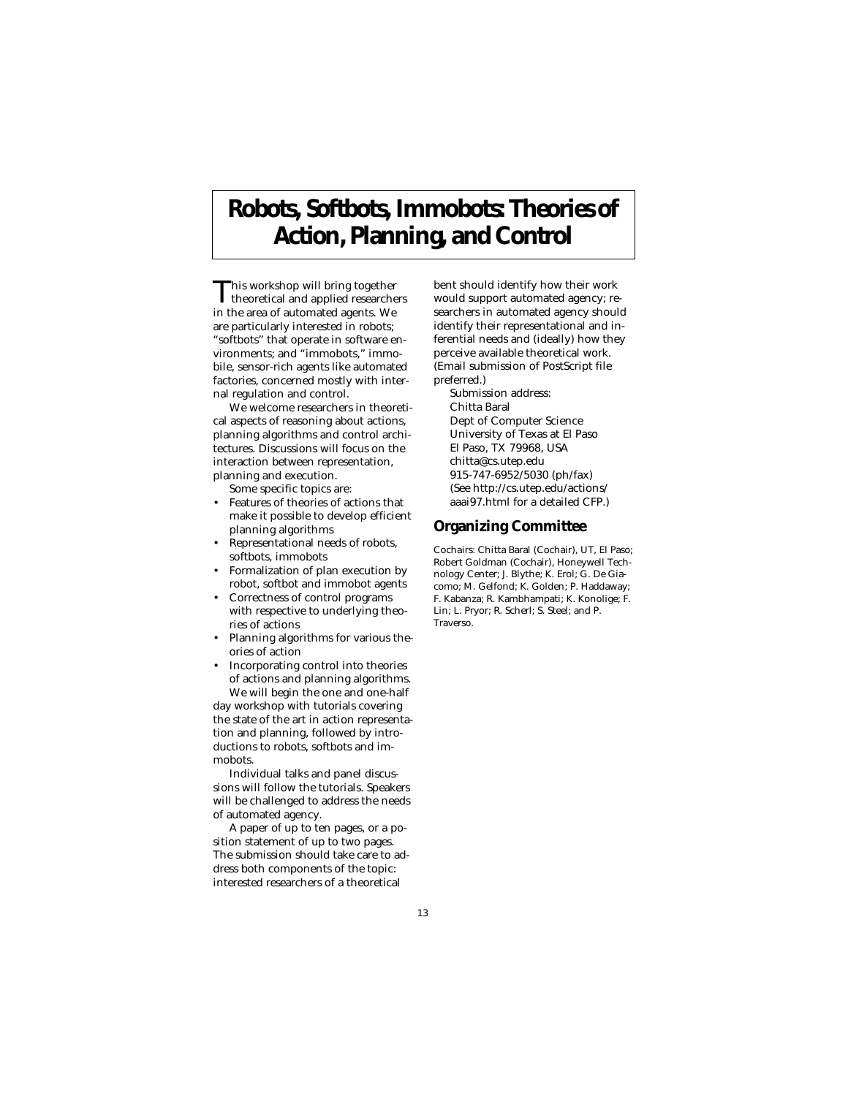# **Robots, Softbots, Immobots: Theories of Action, Planning, and Control**

This workshop will bring together<br>theoretical and applied researchers in the area of automated agents. We are particularly interested in robots; "softbots" that operate in software environments; and "immobots," immobile, sensor-rich agents like automated factories, concerned mostly with internal regulation and control.

We welcome researchers in theoretical aspects of reasoning about actions, planning algorithms and control architectures. Discussions will focus on the interaction between representation, planning and execution.

Some specific topics are:

- Features of theories of actions that make it possible to develop efficient planning algorithms
- Representational needs of robots, softbots, immobots
- Formalization of plan execution by robot, softbot and immobot agents
- Correctness of control programs with respective to underlying theories of actions
- Planning algorithms for various theories of action
- Incorporating control into theories of actions and planning algorithms.

We will begin the one and one-half day workshop with tutorials covering the state of the art in action representation and planning, followed by introductions to robots, softbots and immobots.

Individual talks and panel discussions will follow the tutorials. Speakers will be challenged to address the needs of automated agency.

A paper of up to ten pages, or a position statement of up to two pages. The submission should take care to address both components of the topic: interested researchers of a theoretical

bent should identify how their work would support automated agency; researchers in automated agency should identify their representational and inferential needs and (ideally) how they perceive available theoretical work. (Email submission of PostScript file preferred.)

Submission address: Chitta Baral Dept of Computer Science University of Texas at El Paso El Paso, TX 79968, USA chitta@cs.utep.edu 915-747-6952/5030 (ph/fax) (See http://cs.utep.edu/actions/ aaai97.html for a detailed CFP.)

#### **Organizing Committee**

Cochairs: Chitta Baral (Cochair), UT, El Paso; Robert Goldman (Cochair), Honeywell Technology Center; J. Blythe; K. Erol; G. De Giacomo; M. Gelfond; K. Golden; P. Haddaway; F. Kabanza; R. Kambhampati; K. Konolige; F. Lin; L. Pryor; R. Scherl; S. Steel; and P. Traverso.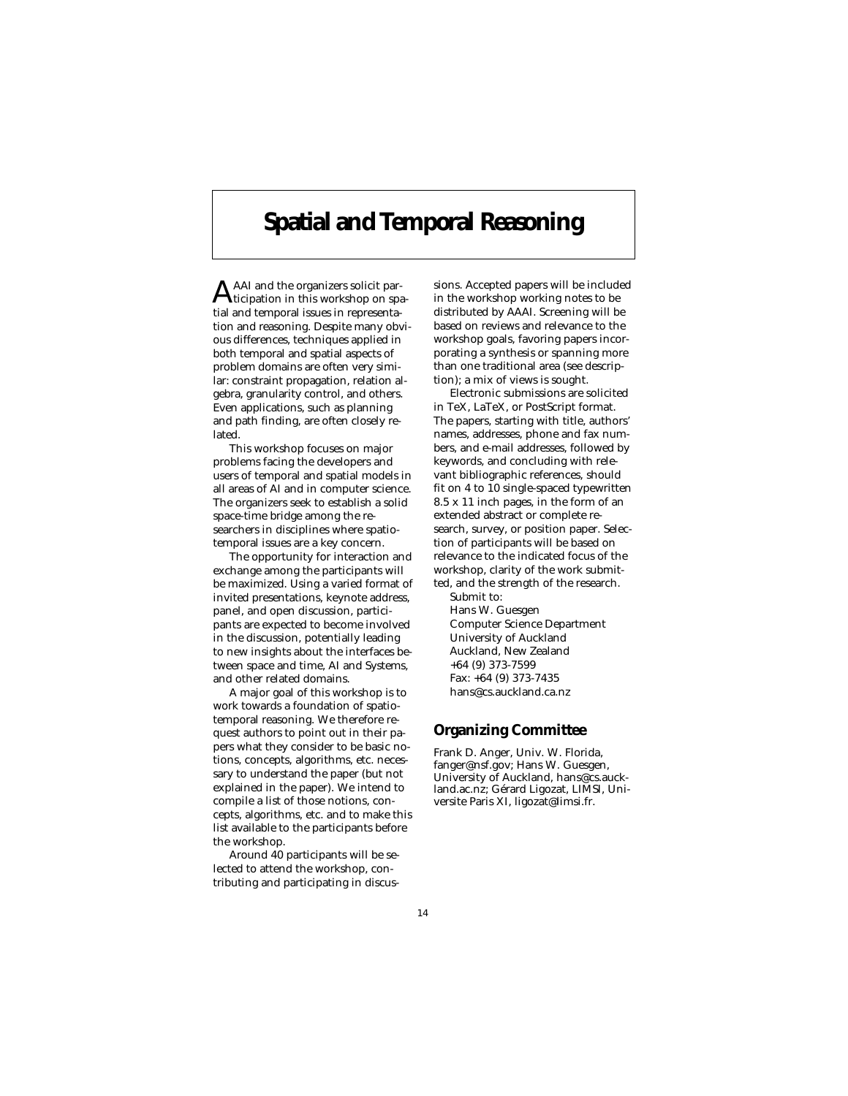# **Spatial and Temporal Reasoning**

AAI and the organizers solicit participation in this workshop on spatial and temporal issues in representation and reasoning. Despite many obvious differences, techniques applied in both temporal and spatial aspects of problem domains are often very similar: constraint propagation, relation algebra, granularity control, and others. Even applications, such as planning and path finding, are often closely related.

This workshop focuses on major problems facing the developers and users of temporal and spatial models in all areas of AI and in computer science. The organizers seek to establish a solid space-time bridge among the researchers in disciplines where spatiotemporal issues are a key concern.

The opportunity for interaction and exchange among the participants will be maximized. Using a varied format of invited presentations, keynote address, panel, and open discussion, participants are expected to become involved in the discussion, potentially leading to new insights about the interfaces between space and time, AI and Systems, and other related domains.

A major goal of this workshop is to work towards a foundation of spatiotemporal reasoning. We therefore request authors to point out in their papers what they consider to be basic notions, concepts, algorithms, etc. necessary to understand the paper (but not explained in the paper). We intend to compile a list of those notions, concepts, algorithms, etc. and to make this list available to the participants before the workshop.

Around 40 participants will be selected to attend the workshop, contributing and participating in discussions. Accepted papers will be included in the workshop working notes to be distributed by AAAI. Screening will be based on reviews and relevance to the workshop goals, favoring papers incorporating a synthesis or spanning more than one traditional area (see description); a mix of views is sought.

Electronic submissions are solicited in TeX, LaTeX, or PostScript format. The papers, starting with title, authors' names, addresses, phone and fax numbers, and e-mail addresses, followed by keywords, and concluding with relevant bibliographic references, should fit on 4 to 10 single-spaced typewritten 8.5 x 11 inch pages, in the form of an extended abstract or complete research, survey, or position paper. Selection of participants will be based on relevance to the indicated focus of the workshop, clarity of the work submitted, and the strength of the research. Submit to:

Hans W. Guesgen Computer Science Department University of Auckland Auckland, New Zealand +64 (9) 373-7599 Fax: +64 (9) 373-7435 hans@cs.auckland.ca.nz

#### **Organizing Committee**

Frank D. Anger, Univ. W. Florida, fanger@nsf.gov; Hans W. Guesgen, University of Auckland, hans@cs.auckland.ac.nz; Gérard Ligozat, LIMSI, Universite Paris XI, ligozat@limsi.fr.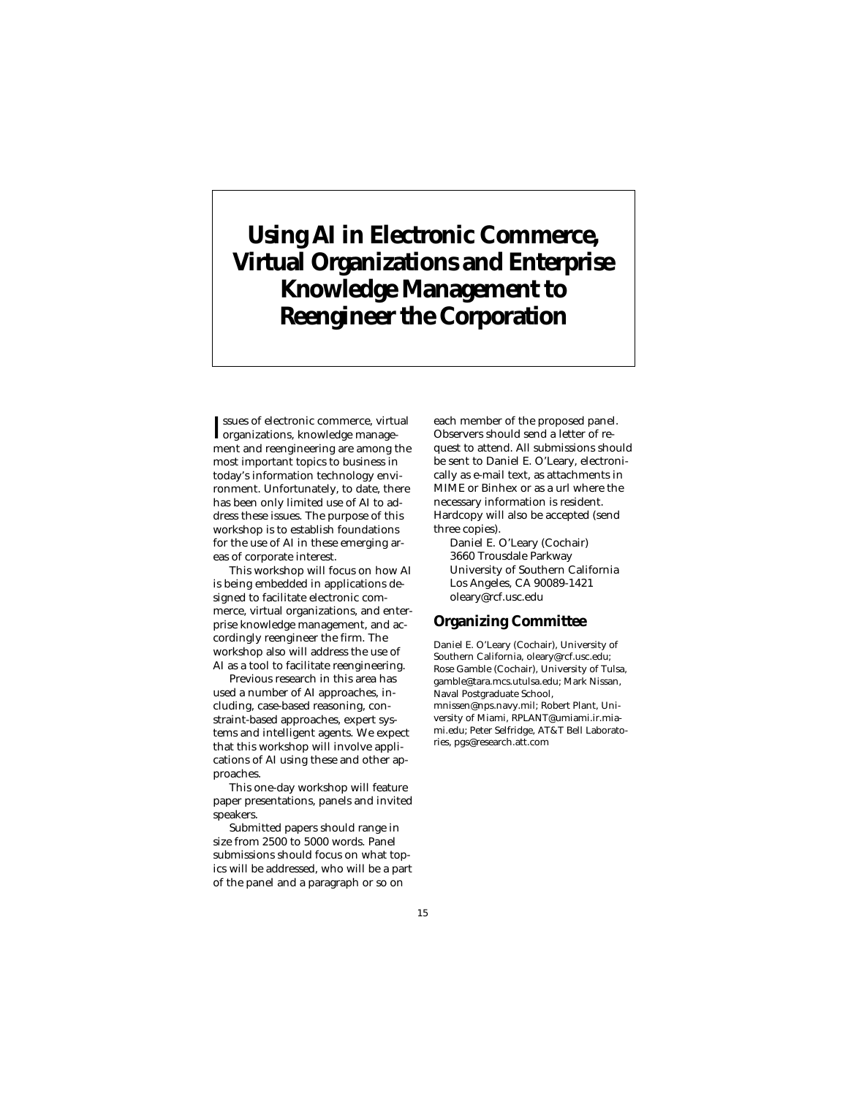# **Using AI in Electronic Commerce, Virtual Organizations and Enterprise Knowledge Management to Reengineer the Corporation**

I organizations, knowledge managessues of electronic commerce, virtual ment and reengineering are among the most important topics to business in today's information technology environment. Unfortunately, to date, there has been only limited use of AI to address these issues. The purpose of this workshop is to establish foundations for the use of AI in these emerging areas of corporate interest.

This workshop will focus on how AI is being embedded in applications designed to facilitate electronic commerce, virtual organizations, and enterprise knowledge management, and accordingly reengineer the firm. The workshop also will address the use of AI as a tool to facilitate reengineering.

Previous research in this area has used a number of AI approaches, including, case-based reasoning, constraint-based approaches, expert systems and intelligent agents. We expect that this workshop will involve applications of AI using these and other approaches.

This one-day workshop will feature paper presentations, panels and invited speakers.

Submitted papers should range in size from 2500 to 5000 words. Panel submissions should focus on what topics will be addressed, who will be a part of the panel and a paragraph or so on

each member of the proposed panel. Observers should send a letter of request to attend. All submissions should be sent to Daniel E. O'Leary, electronically as e-mail text, as attachments in MIME or Binhex or as a url where the necessary information is resident. Hardcopy will also be accepted (send three copies).

Daniel E. O'Leary (Cochair) 3660 Trousdale Parkway University of Southern California Los Angeles, CA 90089-1421 oleary@rcf.usc.edu

#### **Organizing Committee**

Daniel E. O'Leary (Cochair), University of Southern California, oleary@rcf.usc.edu; Rose Gamble (Cochair), University of Tulsa, gamble@tara.mcs.utulsa.edu; Mark Nissan, Naval Postgraduate School, mnissen@nps.navy.mil; Robert Plant, University of Miami, RPLANT@umiami.ir.miami.edu; Peter Selfridge, AT&T Bell Laboratories, pgs@research.att.com